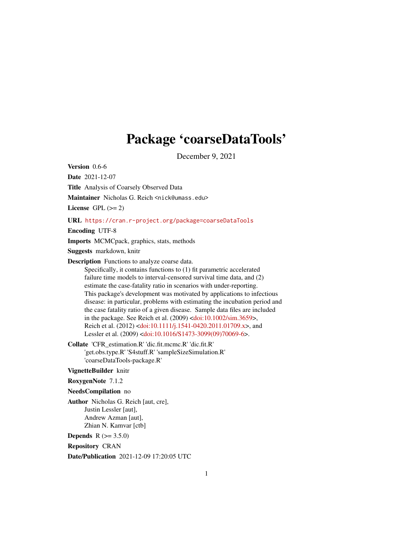# Package 'coarseDataTools'

December 9, 2021

<span id="page-0-0"></span>Version 0.6-6 Date 2021-12-07 Title Analysis of Coarsely Observed Data Maintainer Nicholas G. Reich <nick@umass.edu> License GPL  $(>= 2)$ URL <https://cran.r-project.org/package=coarseDataTools> Encoding UTF-8 Imports MCMCpack, graphics, stats, methods Suggests markdown, knitr Description Functions to analyze coarse data. Specifically, it contains functions to (1) fit parametric accelerated failure time models to interval-censored survival time data, and (2) estimate the case-fatality ratio in scenarios with under-reporting. This package's development was motivated by applications to infectious disease: in particular, problems with estimating the incubation period and the case fatality ratio of a given disease. Sample data files are included in the package. See Reich et al. (2009) [<doi:10.1002/sim.3659>](https://doi.org/10.1002/sim.3659), Reich et al. (2012) [<doi:10.1111/j.1541-0420.2011.01709.x>](https://doi.org/10.1111/j.1541-0420.2011.01709.x), and Lessler et al. (2009) [<doi:10.1016/S1473-3099\(09\)70069-6>](https://doi.org/10.1016/S1473-3099(09)70069-6). Collate 'CFR\_estimation.R' 'dic.fit.mcmc.R' 'dic.fit.R' 'get.obs.type.R' 'S4stuff.R' 'sampleSizeSimulation.R' 'coarseDataTools-package.R' VignetteBuilder knitr RoxygenNote 7.1.2 NeedsCompilation no Author Nicholas G. Reich [aut, cre], Justin Lessler [aut],

Andrew Azman [aut], Zhian N. Kamvar [ctb]

**Depends**  $R (= 3.5.0)$ 

Repository CRAN

Date/Publication 2021-12-09 17:20:05 UTC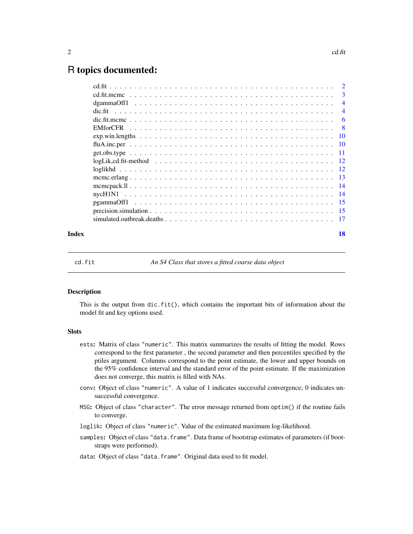# <span id="page-1-0"></span>R topics documented:

| Index | 18 |
|-------|----|

<span id="page-1-1"></span>

cd.fit *An S4 Class that stores a fitted coarse data object*

#### Description

This is the output from dic.fit(), which contains the important bits of information about the model fit and key options used.

## **Slots**

- ests: Matrix of class "numeric". This matrix summarizes the results of fitting the model. Rows correspond to the first parameter , the second parameter and then percentiles specified by the ptiles argument. Columns correspond to the point estimate, the lower and upper bounds on the 95% confidence interval and the standard error of the point estimate. If the maximization does not converge, this matrix is filled with NAs.
- conv: Object of class "numeric". A value of 1 indicates successful convergence; 0 indicates unsuccessful convergence.
- MSG: Object of class "character". The error message returned from optim() if the routine fails to converge.
- loglik: Object of class "numeric". Value of the estimated maximum log-likelihood.
- samples: Object of class "data.frame". Data frame of bootstrap estimates of parameters (if bootstraps were performed).
- data: Object of class "data.frame". Original data used to fit model.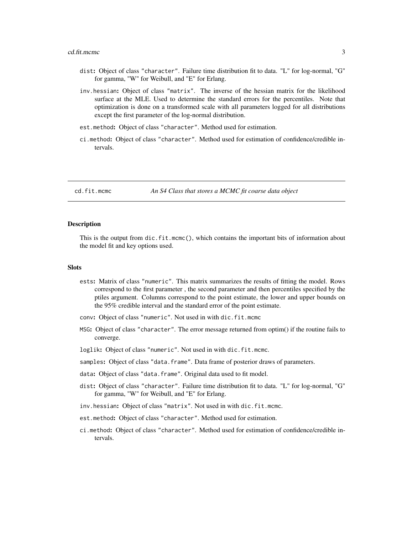#### <span id="page-2-0"></span>cd.fit.mcmc 3

- dist: Object of class "character". Failure time distribution fit to data. "L" for log-normal, "G" for gamma, "W" for Weibull, and "E" for Erlang.
- inv.hessian: Object of class "matrix". The inverse of the hessian matrix for the likelihood surface at the MLE. Used to determine the standard errors for the percentiles. Note that optimization is done on a transformed scale with all parameters logged for all distributions except the first parameter of the log-normal distribution.
- est.method: Object of class "character". Method used for estimation.
- ci.method: Object of class "character". Method used for estimation of confidence/credible intervals.

cd.fit.mcmc *An S4 Class that stores a MCMC fit coarse data object*

#### **Description**

This is the output from dic.fit.mcmc(), which contains the important bits of information about the model fit and key options used.

# **Slots**

- ests: Matrix of class "numeric". This matrix summarizes the results of fitting the model. Rows correspond to the first parameter , the second parameter and then percentiles specified by the ptiles argument. Columns correspond to the point estimate, the lower and upper bounds on the 95% credible interval and the standard error of the point estimate.
- conv: Object of class "numeric". Not used in with dic.fit.mcmc
- MSG: Object of class "character". The error message returned from optim() if the routine fails to converge.
- loglik: Object of class "numeric". Not used in with dic.fit.mcmc.
- samples: Object of class "data.frame". Data frame of posterior draws of parameters.
- data: Object of class "data.frame". Original data used to fit model.
- dist: Object of class "character". Failure time distribution fit to data. "L" for log-normal, "G" for gamma, "W" for Weibull, and "E" for Erlang.
- inv.hessian: Object of class "matrix". Not used in with dic.fit.mcmc.
- est.method: Object of class "character". Method used for estimation.
- ci.method: Object of class "character". Method used for estimation of confidence/credible intervals.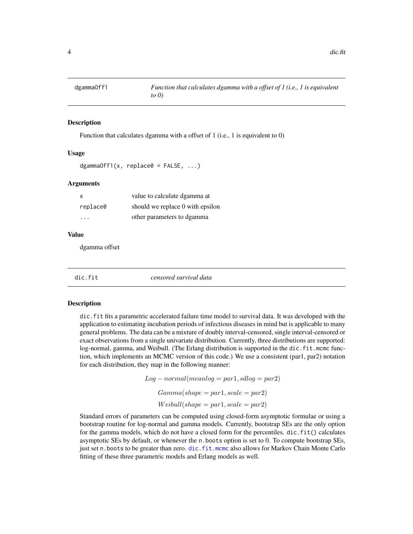<span id="page-3-0"></span>

# **Description**

Function that calculates dgamma with a offset of 1 (i.e., 1 is equivalent to 0)

#### Usage

```
dgammaOff1(x, replace 0 = FALSE, ...)
```
#### Arguments

| х        | value to calculate dgamma at     |
|----------|----------------------------------|
| replace0 | should we replace 0 with epsilon |
| .        | other parameters to dgamma       |

#### Value

dgamma offset

<span id="page-3-1"></span>

dic.fit *censored survival data*

#### Description

dic.fit fits a parametric accelerated failure time model to survival data. It was developed with the application to estimating incubation periods of infectious diseases in mind but is applicable to many general problems. The data can be a mixture of doubly interval-censored, single interval-censored or exact observations from a single univariate distribution. Currently, three distributions are supported: log-normal, gamma, and Weibull. (The Erlang distribution is supported in the dic.fit.mcmc function, which implements an MCMC version of this code.) We use a consistent (par1, par2) notation for each distribution, they map in the following manner:

> $Log-normal(meanlog = par1, sdlog = par2)$  $Gamma(shape = par1, scale = par2)$  $Weibull(shape = par1, scale = par2)$

Standard errors of parameters can be computed using closed-form asymptotic formulae or using a bootstrap routine for log-normal and gamma models. Currently, bootstrap SEs are the only option for the gamma models, which do not have a closed form for the percentiles.  $\text{dic.fit}()$  calculates asymptotic SEs by default, or whenever the n.boots option is set to 0. To compute bootstrap SEs, just set n. boots to be greater than zero. dic. fit.mcmc also allows for Markov Chain Monte Carlo fitting of these three parametric models and Erlang models as well.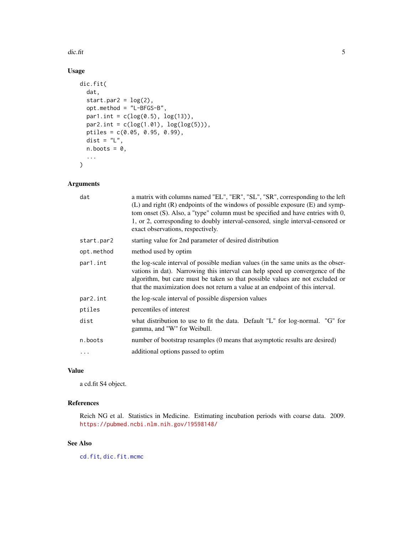<span id="page-4-0"></span>dic.fit 5

# Usage

```
dic.fit(
  dat,
  start.par2 = \log(2),
 opt.method = "L-BFGS-B",
 par1.int = c(log(0.5), log(13)),par2.int = c(log(1.01), log(log(5))),
 ptiles = c(0.05, 0.95, 0.99),
  dist = "L",n.boots = \theta,
  ...
\mathcal{L}
```
# Arguments

| a matrix with columns named "EL", "ER", "SL", "SR", corresponding to the left<br>(L) and right $(R)$ endpoints of the windows of possible exposure $(E)$ and symp-<br>tom onset (S). Also, a "type" column must be specified and have entries with 0,<br>1, or 2, corresponding to doubly interval-censored, single interval-censored or<br>exact observations, respectively. |  |
|-------------------------------------------------------------------------------------------------------------------------------------------------------------------------------------------------------------------------------------------------------------------------------------------------------------------------------------------------------------------------------|--|
| starting value for 2nd parameter of desired distribution                                                                                                                                                                                                                                                                                                                      |  |
| method used by optim                                                                                                                                                                                                                                                                                                                                                          |  |
| the log-scale interval of possible median values (in the same units as the obser-<br>vations in dat). Narrowing this interval can help speed up convergence of the<br>algorithm, but care must be taken so that possible values are not excluded or<br>that the maximization does not return a value at an endpoint of this interval.                                         |  |
| the log-scale interval of possible dispersion values                                                                                                                                                                                                                                                                                                                          |  |
| percentiles of interest                                                                                                                                                                                                                                                                                                                                                       |  |
| what distribution to use to fit the data. Default "L" for log-normal. "G" for<br>gamma, and "W" for Weibull.                                                                                                                                                                                                                                                                  |  |
| number of bootstrap resamples (0 means that asymptotic results are desired)                                                                                                                                                                                                                                                                                                   |  |
| additional options passed to optim                                                                                                                                                                                                                                                                                                                                            |  |
|                                                                                                                                                                                                                                                                                                                                                                               |  |

# Value

a cd.fit S4 object.

# References

Reich NG et al. Statistics in Medicine. Estimating incubation periods with coarse data. 2009. <https://pubmed.ncbi.nlm.nih.gov/19598148/>

# See Also

[cd.fit](#page-1-1), [dic.fit.mcmc](#page-5-1)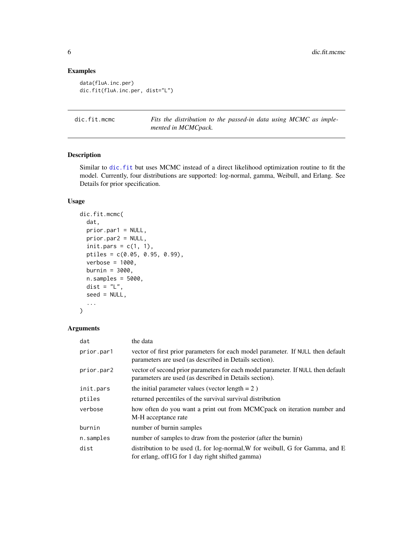# Examples

```
data(fluA.inc.per)
dic.fit(fluA.inc.per, dist="L")
```
<span id="page-5-1"></span>dic.fit.mcmc *Fits the distribution to the passed-in data using MCMC as implemented in MCMCpack.*

# Description

Similar to [dic.fit](#page-3-1) but uses MCMC instead of a direct likelihood optimization routine to fit the model. Currently, four distributions are supported: log-normal, gamma, Weibull, and Erlang. See Details for prior specification.

# Usage

```
dic.fit.mcmc(
  dat,
 prior.par1 = NULL,
 prior.par2 = NULL,
  init.pars = c(1, 1),
 ptiles = c(0.05, 0.95, 0.99),
  verbose = 1000,
  burnin = 3000,
  n.samples = 5000,
 dist = "L",seed = NULL,
  ...
)
```
#### Arguments

| dat        | the data                                                                                                                                   |
|------------|--------------------------------------------------------------------------------------------------------------------------------------------|
| prior.par1 | vector of first prior parameters for each model parameter. If NULL then default<br>parameters are used (as described in Details section).  |
| prior.par2 | vector of second prior parameters for each model parameter. If NULL then default<br>parameters are used (as described in Details section). |
| init.pars  | the initial parameter values (vector length $= 2$ )                                                                                        |
| ptiles     | returned percentiles of the survival survival distribution                                                                                 |
| verbose    | how often do you want a print out from MCMCpack on iteration number and<br>M-H acceptance rate                                             |
| burnin     | number of burnin samples                                                                                                                   |
| n.samples  | number of samples to draw from the posterior (after the burnin)                                                                            |
| dist       | distribution to be used (L for log-normal, W for weibull, G for Gamma, and E<br>for erlang, off1G for 1 day right shifted gamma)           |

<span id="page-5-0"></span>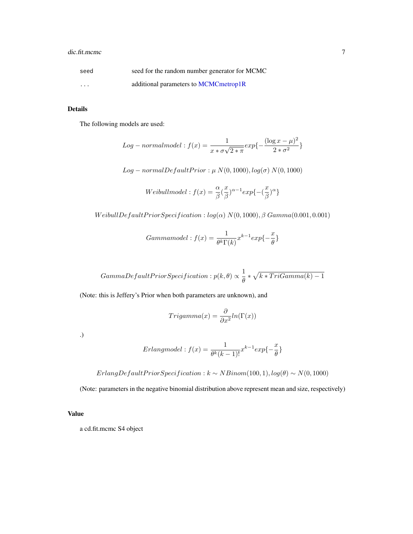# <span id="page-6-0"></span>dic.fit.mcmc 7

| seed     | seed for the random number generator for MCMC |
|----------|-----------------------------------------------|
| $\cdots$ | additional parameters to MCMCmetrop1R         |

# Details

The following models are used:

$$
Log-normalmodel: f(x) = \frac{1}{x * \sigma \sqrt{2 * \pi}} exp{-\frac{(\log x - \mu)^2}{2 * \sigma^2}}
$$

 $Log-normalDefaultPrior: \mu N(0, 1000), log(\sigma) N(0, 1000)$ 

Weibull model: 
$$
f(x) = \frac{\alpha}{\beta} (\frac{x}{\beta})^{\alpha - 1} exp{-\frac{x}{\beta}}^{\alpha}
$$

WeibullDefaultPriorSpecification :  $log(\alpha) N(0, 1000), \beta \text{ Gamma}(0.001, 0.001)$ 

$$
Gamma model: f(x) = \frac{1}{\theta^k \Gamma(k)} x^{k-1} exp{-\frac{x}{\theta}}
$$

 $GammaDefaultPrior Specification: p(k, \theta) \propto \frac{1}{\sigma}$  $\frac{1}{\theta} * \sqrt{k * TriGamma(k) - 1}$ 

(Note: this is Jeffery's Prior when both parameters are unknown), and

$$
Trigamma(x) = \frac{\partial}{\partial x^2} ln(\Gamma(x))
$$

.)

$$
Erlang model: f(x) = \frac{1}{\theta^k (k-1)!} x^{k-1} exp{-\frac{x}{\theta}}
$$

 $ErlangDefaultPrior Specification: k ~ \sim NBinom(100, 1), log(\theta) ~ \sim N(0, 1000)$ 

(Note: parameters in the negative binomial distribution above represent mean and size, respectively)

# Value

a cd.fit.mcmc S4 object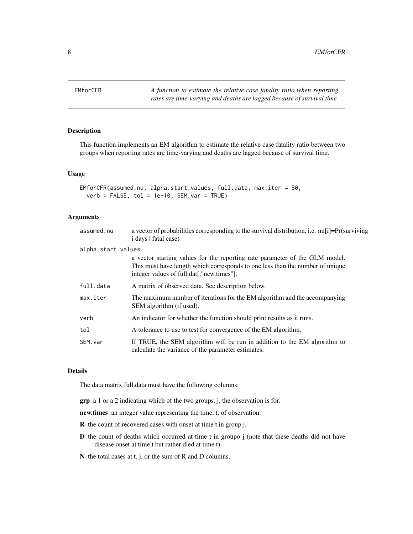<span id="page-7-0"></span>EMforCFR *A function to estimate the relative case fatality ratio when reporting rates are time-varying and deaths are lagged because of survival time.*

# Description

This function implements an EM algorithm to estimate the relative case fatality ratio between two groups when reporting rates are time-varying and deaths are lagged because of survival time.

# Usage

```
EMforCFR(assumed.nu, alpha.start.values, full.data, max.iter = 50,
  verb = FALSE, tol = 1e-10, SEM.var = TRUE)
```
#### Arguments

| assumed.nu         | a vector of probabilities corresponding to the survival distribution, i.e. nu[i]=Pr(surviving<br>i days I fatal case)                                                                                     |
|--------------------|-----------------------------------------------------------------------------------------------------------------------------------------------------------------------------------------------------------|
| alpha.start.values |                                                                                                                                                                                                           |
|                    | a vector starting values for the reporting rate parameter of the GLM model.<br>This must have length which corresponds to one less than the number of unique<br>integer values of full.dat[,"new.times"]. |
| full.data          | A matrix of observed data. See description below.                                                                                                                                                         |
| max.iter           | The maximum number of iterations for the EM algorithm and the accompanying<br>SEM algorithm (if used).                                                                                                    |
| verb               | An indicator for whether the function should print results as it runs.                                                                                                                                    |
| tol                | A tolerance to use to test for convergence of the EM algorithm.                                                                                                                                           |
| SEM. var           | If TRUE, the SEM algorithm will be run in addition to the EM algorithm to<br>calculate the variance of the parameter estimates.                                                                           |

# Details

The data matrix full.data must have the following columns:

grp a 1 or a 2 indicating which of the two groups, j, the observation is for.

new.times an integer value representing the time, t, of observation.

- R the count of recovered cases with onset at time t in group j.
- D the count of deaths which occurred at time t in groupo j (note that these deaths did not have disease onset at time t but rather died at time t).
- N the total cases at t, j, or the sum of R and D columns.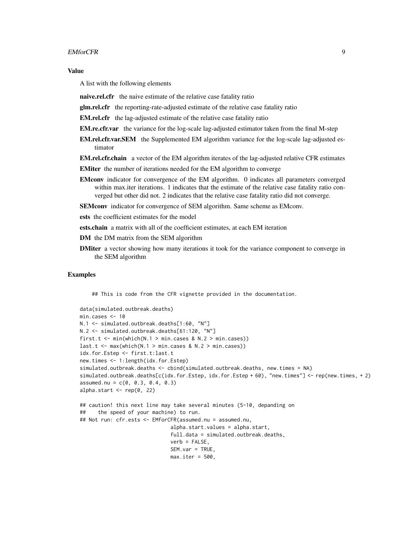#### EMforCFR 9

## Value

A list with the following elements

- naive.rel.cfr the naive estimate of the relative case fatality ratio
- glm.rel.cfr the reporting-rate-adjusted estimate of the relative case fatality ratio
- EM.rel.cfr the lag-adjusted estimate of the relative case fatality ratio
- **EM.re.cfr.var** the variance for the log-scale lag-adjusted estimator taken from the final M-step
- EM.rel.cfr.var.SEM the Supplemented EM algorithm variance for the log-scale lag-adjusted estimator
- **EM.rel.cfr.chain** a vector of the EM algorithm iterates of the lag-adjusted relative CFR estimates
- EMiter the number of iterations needed for the EM algorithm to converge
- EMconv indicator for convergence of the EM algorithm. 0 indicates all parameters converged within max.iter iterations. 1 indicates that the estimate of the relative case fatality ratio converged but other did not. 2 indicates that the relative case fatality ratio did not converge.
- SEMconv indicator for convergence of SEM algorithm. Same scheme as EMconv.
- ests the coefficient estimates for the model
- ests.chain a matrix with all of the coefficient estimates, at each EM iteration
- DM the DM matrix from the SEM algorithm
- **DMiter** a vector showing how many iterations it took for the variance component to converge in the SEM algorithm

# Examples

## This is code from the CFR vignette provided in the documentation.

```
data(simulated.outbreak.deaths)
min.cases <- 10
N.1 <- simulated.outbreak.deaths[1:60, "N"]
N.2 <- simulated.outbreak.deaths[61:120, "N"]
first.t <- min(which(N.1 > min.class & N.2 > min.cs)last.t \leq max(which(N.1 > min.cases & N.2 > min.cases))
idx.for.Estep <- first.t:last.t
new.times <- 1:length(idx.for.Estep)
simulated.outbreak.deaths <- cbind(simulated.outbreak.deaths, new.times = NA)
simulated.outbreak.deaths[c(idx.for.Estep, idx.for.Estep + 60), "new.times"] <- rep(new.times, + 2)
assumed.nu = c(0, 0.3, 0.4, 0.3)alpha.start \leq rep(0, 22)
## caution! this next line may take several minutes (5-10, depanding on
## the speed of your machine) to run.
## Not run: cfr.ests <- EMforCFR(assumed.nu = assumed.nu,
                              alpha.start.values = alpha.start,
                              full.data = simulated.outbreak.deaths,
                              verb = FALSE,SEM.var = TRUE,
                              max.iter = 500,
```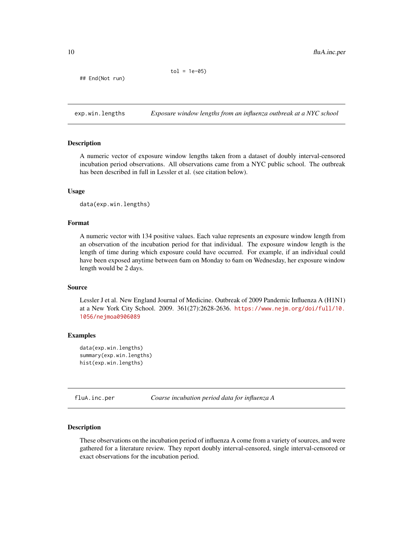```
tol = 1e-05
```
<span id="page-9-0"></span>## End(Not run)

exp.win.lengths *Exposure window lengths from an influenza outbreak at a NYC school*

#### Description

A numeric vector of exposure window lengths taken from a dataset of doubly interval-censored incubation period observations. All observations came from a NYC public school. The outbreak has been described in full in Lessler et al. (see citation below).

#### Usage

data(exp.win.lengths)

# Format

A numeric vector with 134 positive values. Each value represents an exposure window length from an observation of the incubation period for that individual. The exposure window length is the length of time during which exposure could have occurred. For example, if an individual could have been exposed anytime between 6am on Monday to 6am on Wednesday, her exposure window length would be 2 days.

#### Source

Lessler J et al. New England Journal of Medicine. Outbreak of 2009 Pandemic Influenza A (H1N1) at a New York City School. 2009. 361(27):2628-2636. [https://www.nejm.org/doi/full/10.](https://www.nejm.org/doi/full/10.1056/nejmoa0906089) [1056/nejmoa0906089](https://www.nejm.org/doi/full/10.1056/nejmoa0906089)

#### Examples

```
data(exp.win.lengths)
summary(exp.win.lengths)
hist(exp.win.lengths)
```
fluA.inc.per *Coarse incubation period data for influenza A*

# Description

These observations on the incubation period of influenza A come from a variety of sources, and were gathered for a literature review. They report doubly interval-censored, single interval-censored or exact observations for the incubation period.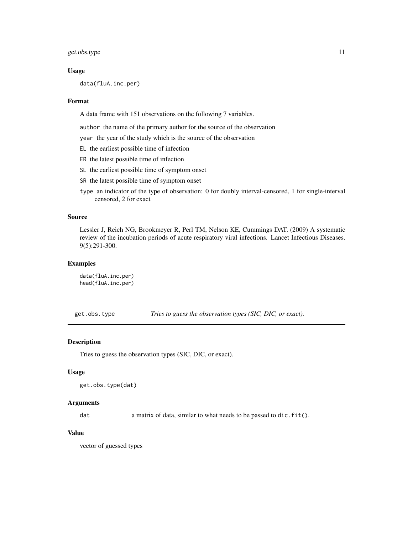<span id="page-10-0"></span>get.obs.type 11

#### Usage

data(fluA.inc.per)

#### Format

A data frame with 151 observations on the following 7 variables.

author the name of the primary author for the source of the observation

year the year of the study which is the source of the observation

- EL the earliest possible time of infection
- ER the latest possible time of infection
- SL the earliest possible time of symptom onset
- SR the latest possible time of symptom onset
- type an indicator of the type of observation: 0 for doubly interval-censored, 1 for single-interval censored, 2 for exact

#### Source

Lessler J, Reich NG, Brookmeyer R, Perl TM, Nelson KE, Cummings DAT. (2009) A systematic review of the incubation periods of acute respiratory viral infections. Lancet Infectious Diseases. 9(5):291-300.

# Examples

data(fluA.inc.per) head(fluA.inc.per)

get.obs.type *Tries to guess the observation types (SIC, DIC, or exact).*

#### Description

Tries to guess the observation types (SIC, DIC, or exact).

#### Usage

```
get.obs.type(dat)
```
#### Arguments

dat a matrix of data, similar to what needs to be passed to dic.fit().

# Value

vector of guessed types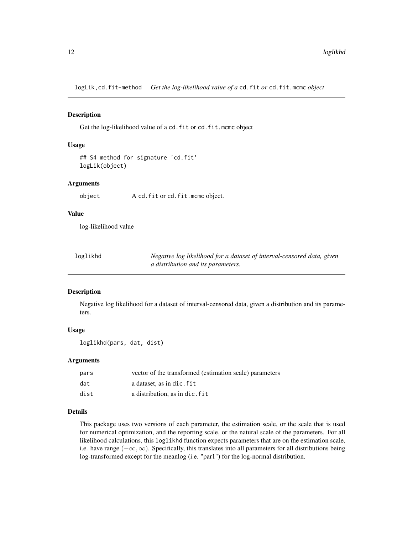<span id="page-11-0"></span>logLik,cd.fit-method *Get the log-likelihood value of a* cd.fit *or* cd.fit.mcmc *object*

# Description

Get the log-likelihood value of a cd.fit or cd.fit.mcmc object

# Usage

```
## S4 method for signature 'cd.fit'
logLik(object)
```
#### Arguments

object A cd.fit or cd.fit.mcmc object.

## Value

log-likelihood value

| loglikhd | Negative log likelihood for a dataset of interval-censored data, given |
|----------|------------------------------------------------------------------------|
|          | <i>a distribution and its parameters.</i>                              |

#### Description

Negative log likelihood for a dataset of interval-censored data, given a distribution and its parameters.

# Usage

loglikhd(pars, dat, dist)

# Arguments

| pars | vector of the transformed (estimation scale) parameters |
|------|---------------------------------------------------------|
| dat  | a dataset, as in dic. fit                               |
| dist | a distribution, as in dic. fit                          |

# Details

This package uses two versions of each parameter, the estimation scale, or the scale that is used for numerical optimization, and the reporting scale, or the natural scale of the parameters. For all likelihood calculations, this loglikhd function expects parameters that are on the estimation scale, i.e. have range (−∞, ∞). Specifically, this translates into all parameters for all distributions being log-transformed except for the meanlog (i.e. "par1") for the log-normal distribution.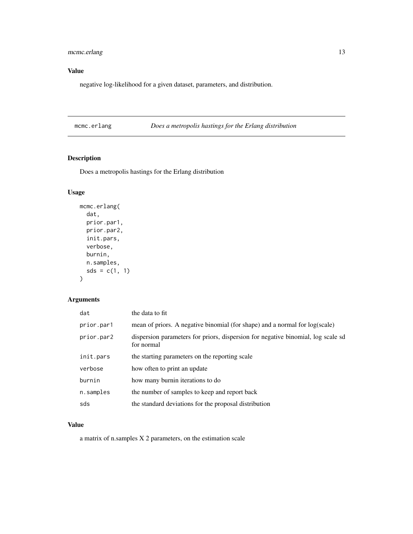# <span id="page-12-0"></span>mcmc.erlang 13

# Value

negative log-likelihood for a given dataset, parameters, and distribution.

mcmc.erlang *Does a metropolis hastings for the Erlang distribution*

# Description

Does a metropolis hastings for the Erlang distribution

# Usage

```
mcmc.erlang(
  dat,
  prior.par1,
  prior.par2,
  init.pars,
  verbose,
  burnin,
  n.samples,
  sds = c(1, 1)\mathcal{L}
```
# Arguments

| dat        | the data to fit                                                                                |
|------------|------------------------------------------------------------------------------------------------|
| prior.par1 | mean of priors. A negative binomial (for shape) and a normal for log(scale)                    |
| prior.par2 | dispersion parameters for priors, dispersion for negative binomial, log scale sd<br>for normal |
| init.pars  | the starting parameters on the reporting scale                                                 |
| verbose    | how often to print an update                                                                   |
| burnin     | how many burnin iterations to do                                                               |
| n.samples  | the number of samples to keep and report back                                                  |
| sds        | the standard deviations for the proposal distribution                                          |

# Value

a matrix of n.samples X 2 parameters, on the estimation scale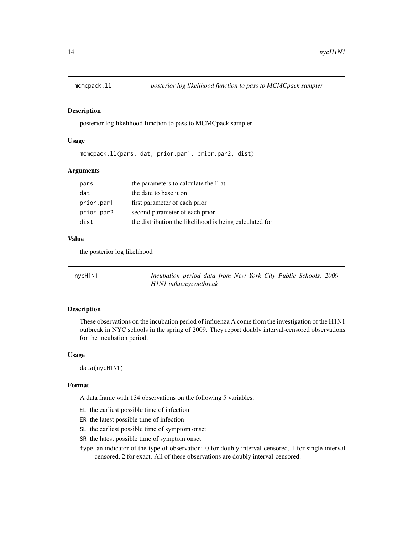<span id="page-13-0"></span>

# Description

posterior log likelihood function to pass to MCMCpack sampler

# Usage

```
mcmcpack.ll(pars, dat, prior.par1, prior.par2, dist)
```
# Arguments

| pars       | the parameters to calculate the II at                   |
|------------|---------------------------------------------------------|
| dat        | the date to base it on                                  |
| prior.par1 | first parameter of each prior                           |
| prior.par2 | second parameter of each prior                          |
| dist       | the distribution the likelihood is being calculated for |

# Value

the posterior log likelihood

| nycH1N1 | Incubation period data from New York City Public Schools, 2009 |  |  |  |
|---------|----------------------------------------------------------------|--|--|--|
|         | H1N1 influenza outbreak                                        |  |  |  |

#### Description

These observations on the incubation period of influenza A come from the investigation of the H1N1 outbreak in NYC schools in the spring of 2009. They report doubly interval-censored observations for the incubation period.

#### Usage

data(nycH1N1)

#### Format

A data frame with 134 observations on the following 5 variables.

- EL the earliest possible time of infection
- ER the latest possible time of infection
- SL the earliest possible time of symptom onset
- SR the latest possible time of symptom onset
- type an indicator of the type of observation: 0 for doubly interval-censored, 1 for single-interval censored, 2 for exact. All of these observations are doubly interval-censored.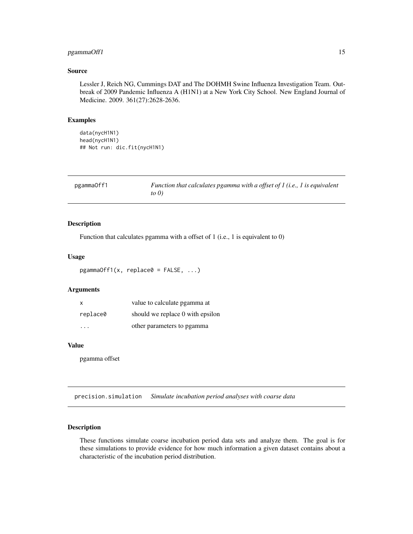# <span id="page-14-0"></span>pgammaOff1 15

#### Source

Lessler J, Reich NG, Cummings DAT and The DOHMH Swine Influenza Investigation Team. Outbreak of 2009 Pandemic Influenza A (H1N1) at a New York City School. New England Journal of Medicine. 2009. 361(27):2628-2636.

# Examples

data(nycH1N1) head(nycH1N1) ## Not run: dic.fit(nycH1N1)

| pgammaOff1 | Function that calculates pgamma with a offset of $I$ (i.e., $I$ is equivalent |
|------------|-------------------------------------------------------------------------------|
|            | to $\theta$ )                                                                 |

# Description

Function that calculates pgamma with a offset of 1 (i.e., 1 is equivalent to 0)

# Usage

 $pgammaOff1(x, replace0 = FALSE, ...)$ 

# Arguments

| $\mathsf{x}$ | value to calculate pgamma at     |
|--------------|----------------------------------|
| replace0     | should we replace 0 with epsilon |
| .            | other parameters to pgamma       |

#### Value

pgamma offset

precision.simulation *Simulate incubation period analyses with coarse data*

# Description

These functions simulate coarse incubation period data sets and analyze them. The goal is for these simulations to provide evidence for how much information a given dataset contains about a characteristic of the incubation period distribution.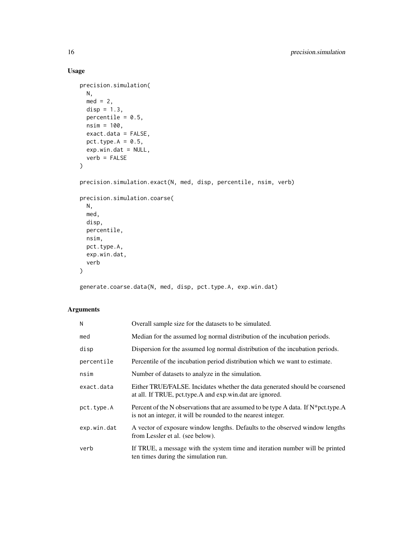# Usage

```
precision.simulation(
 N,
 med = 2,disp = 1.3,
 percentile = 0.5,
 nsim = 100,
 exact.data = FALSE,
 pct.type.A = 0.5,
 exp.win.dat = NULL,verb = FALSE\mathcal{L}precision.simulation.exact(N, med, disp, percentile, nsim, verb)
precision.simulation.coarse(
 N,
 med,
 disp,
 percentile,
 nsim,
 pct.type.A,
 exp.win.dat,
 verb
\mathcal{L}
```
generate.coarse.data(N, med, disp, pct.type.A, exp.win.dat)

# Arguments

| N           | Overall sample size for the datasets to be simulated.                                                                                                    |
|-------------|----------------------------------------------------------------------------------------------------------------------------------------------------------|
| med         | Median for the assumed log normal distribution of the incubation periods.                                                                                |
| disp        | Dispersion for the assumed log normal distribution of the incubation periods.                                                                            |
| percentile  | Percentile of the incubation period distribution which we want to estimate.                                                                              |
| nsim        | Number of datasets to analyze in the simulation.                                                                                                         |
| exact.data  | Either TRUE/FALSE. Incidates whether the data generated should be coarsened<br>at all. If TRUE, pct.type.A and exp.win.dat are ignored.                  |
| pct.type.A  | Percent of the N observations that are assumed to be type A data. If $N^*$ pct. type. A<br>is not an integer, it will be rounded to the nearest integer. |
| exp.win.dat | A vector of exposure window lengths. Defaults to the observed window lengths<br>from Lessler et al. (see below).                                         |
| verb        | If TRUE, a message with the system time and iteration number will be printed<br>ten times during the simulation run.                                     |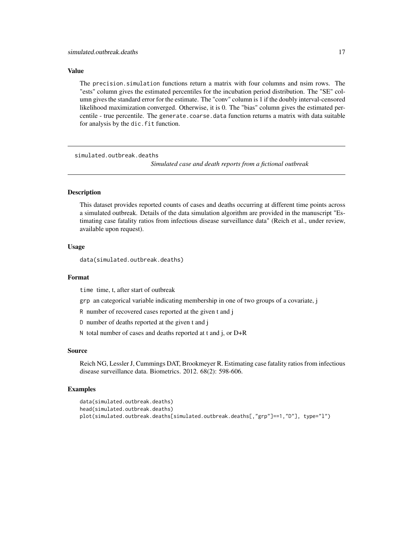#### <span id="page-16-0"></span>Value

The precision.simulation functions return a matrix with four columns and nsim rows. The "ests" column gives the estimated percentiles for the incubation period distribution. The "SE" column gives the standard error for the estimate. The "conv" column is 1 if the doubly interval-censored likelihood maximization converged. Otherwise, it is 0. The "bias" column gives the estimated percentile - true percentile. The generate.coarse.data function returns a matrix with data suitable for analysis by the dic. fit function.

simulated.outbreak.deaths

*Simulated case and death reports from a fictional outbreak*

# Description

This dataset provides reported counts of cases and deaths occurring at different time points across a simulated outbreak. Details of the data simulation algorithm are provided in the manuscript "Estimating case fatality ratios from infectious disease surveillance data" (Reich et al., under review, available upon request).

#### Usage

data(simulated.outbreak.deaths)

#### Format

time time, t, after start of outbreak

grp an categorical variable indicating membership in one of two groups of a covariate, j

R number of recovered cases reported at the given t and j

D number of deaths reported at the given t and j

N total number of cases and deaths reported at t and j, or D+R

#### Source

Reich NG, Lessler J, Cummings DAT, Brookmeyer R. Estimating case fatality ratios from infectious disease surveillance data. Biometrics. 2012. 68(2): 598-606.

## Examples

```
data(simulated.outbreak.deaths)
head(simulated.outbreak.deaths)
plot(simulated.outbreak.deaths[simulated.outbreak.deaths[,"grp"]==1,"D"], type="l")
```